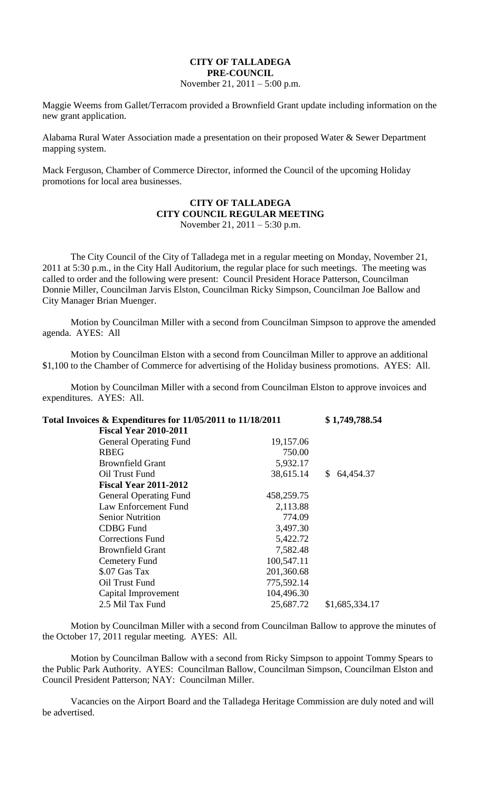## **CITY OF TALLADEGA PRE-COUNCIL**

November 21, 2011 – 5:00 p.m.

Maggie Weems from Gallet/Terracom provided a Brownfield Grant update including information on the new grant application.

Alabama Rural Water Association made a presentation on their proposed Water & Sewer Department mapping system.

Mack Ferguson, Chamber of Commerce Director, informed the Council of the upcoming Holiday promotions for local area businesses.

## **CITY OF TALLADEGA CITY COUNCIL REGULAR MEETING** November 21, 2011 – 5:30 p.m.

The City Council of the City of Talladega met in a regular meeting on Monday, November 21, 2011 at 5:30 p.m., in the City Hall Auditorium, the regular place for such meetings. The meeting was called to order and the following were present: Council President Horace Patterson, Councilman Donnie Miller, Councilman Jarvis Elston, Councilman Ricky Simpson, Councilman Joe Ballow and City Manager Brian Muenger.

Motion by Councilman Miller with a second from Councilman Simpson to approve the amended agenda. AYES: All

Motion by Councilman Elston with a second from Councilman Miller to approve an additional \$1,100 to the Chamber of Commerce for advertising of the Holiday business promotions. AYES: All.

Motion by Councilman Miller with a second from Councilman Elston to approve invoices and expenditures. AYES: All.

| Total Invoices & Expenditures for 11/05/2011 to 11/18/2011 |            | \$1,749,788.54  |
|------------------------------------------------------------|------------|-----------------|
| <b>Fiscal Year 2010-2011</b>                               |            |                 |
| <b>General Operating Fund</b>                              | 19,157.06  |                 |
| <b>RBEG</b>                                                | 750.00     |                 |
| <b>Brownfield Grant</b>                                    | 5,932.17   |                 |
| Oil Trust Fund                                             | 38,615.14  | S.<br>64,454.37 |
| <b>Fiscal Year 2011-2012</b>                               |            |                 |
| <b>General Operating Fund</b>                              | 458,259.75 |                 |
| Law Enforcement Fund                                       | 2,113.88   |                 |
| <b>Senior Nutrition</b>                                    | 774.09     |                 |
| <b>CDBG</b> Fund                                           | 3,497.30   |                 |
| <b>Corrections Fund</b>                                    | 5,422.72   |                 |
| <b>Brownfield Grant</b>                                    | 7,582.48   |                 |
| <b>Cemetery Fund</b>                                       | 100,547.11 |                 |
| \$.07 Gas Tax                                              | 201,360.68 |                 |
| Oil Trust Fund                                             | 775,592.14 |                 |
| Capital Improvement                                        | 104,496.30 |                 |
| 2.5 Mil Tax Fund                                           | 25,687.72  | \$1,685,334.17  |

Motion by Councilman Miller with a second from Councilman Ballow to approve the minutes of the October 17, 2011 regular meeting. AYES: All.

Motion by Councilman Ballow with a second from Ricky Simpson to appoint Tommy Spears to the Public Park Authority. AYES: Councilman Ballow, Councilman Simpson, Councilman Elston and Council President Patterson; NAY: Councilman Miller.

Vacancies on the Airport Board and the Talladega Heritage Commission are duly noted and will be advertised.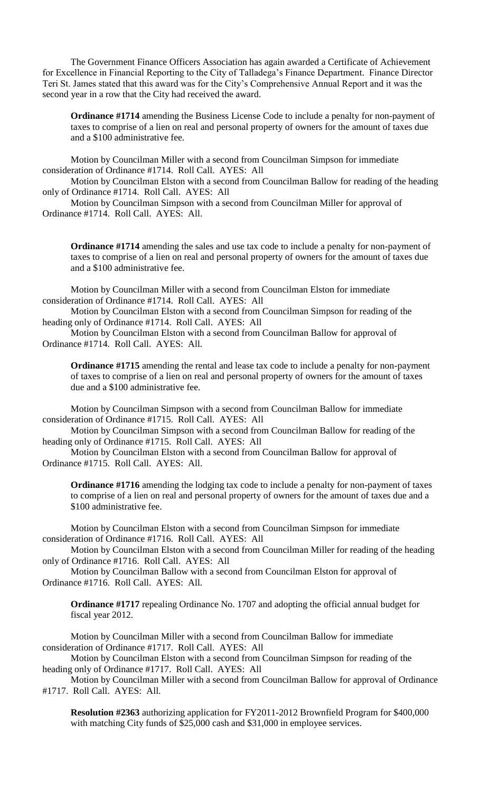The Government Finance Officers Association has again awarded a Certificate of Achievement for Excellence in Financial Reporting to the City of Talladega's Finance Department. Finance Director Teri St. James stated that this award was for the City's Comprehensive Annual Report and it was the second year in a row that the City had received the award.

**Ordinance #1714** amending the Business License Code to include a penalty for non-payment of taxes to comprise of a lien on real and personal property of owners for the amount of taxes due and a \$100 administrative fee.

Motion by Councilman Miller with a second from Councilman Simpson for immediate consideration of Ordinance #1714. Roll Call. AYES: All

Motion by Councilman Elston with a second from Councilman Ballow for reading of the heading only of Ordinance #1714. Roll Call. AYES: All

Motion by Councilman Simpson with a second from Councilman Miller for approval of Ordinance #1714. Roll Call. AYES: All.

**Ordinance #1714** amending the sales and use tax code to include a penalty for non-payment of taxes to comprise of a lien on real and personal property of owners for the amount of taxes due and a \$100 administrative fee.

Motion by Councilman Miller with a second from Councilman Elston for immediate consideration of Ordinance #1714. Roll Call. AYES: All

Motion by Councilman Elston with a second from Councilman Simpson for reading of the heading only of Ordinance #1714. Roll Call. AYES: All

Motion by Councilman Elston with a second from Councilman Ballow for approval of Ordinance #1714. Roll Call. AYES: All.

**Ordinance #1715** amending the rental and lease tax code to include a penalty for non-payment of taxes to comprise of a lien on real and personal property of owners for the amount of taxes due and a \$100 administrative fee.

Motion by Councilman Simpson with a second from Councilman Ballow for immediate consideration of Ordinance #1715. Roll Call. AYES: All

Motion by Councilman Simpson with a second from Councilman Ballow for reading of the heading only of Ordinance #1715. Roll Call. AYES: All

Motion by Councilman Elston with a second from Councilman Ballow for approval of Ordinance #1715. Roll Call. AYES: All.

**Ordinance #1716** amending the lodging tax code to include a penalty for non-payment of taxes to comprise of a lien on real and personal property of owners for the amount of taxes due and a \$100 administrative fee.

Motion by Councilman Elston with a second from Councilman Simpson for immediate consideration of Ordinance #1716. Roll Call. AYES: All

Motion by Councilman Elston with a second from Councilman Miller for reading of the heading only of Ordinance #1716. Roll Call. AYES: All

Motion by Councilman Ballow with a second from Councilman Elston for approval of Ordinance #1716. Roll Call. AYES: All.

**Ordinance #1717** repealing Ordinance No. 1707 and adopting the official annual budget for fiscal year 2012.

Motion by Councilman Miller with a second from Councilman Ballow for immediate consideration of Ordinance #1717. Roll Call. AYES: All

Motion by Councilman Elston with a second from Councilman Simpson for reading of the heading only of Ordinance #1717. Roll Call. AYES: All

Motion by Councilman Miller with a second from Councilman Ballow for approval of Ordinance #1717. Roll Call. AYES: All.

**Resolution #2363** authorizing application for FY2011-2012 Brownfield Program for \$400,000 with matching City funds of \$25,000 cash and \$31,000 in employee services.